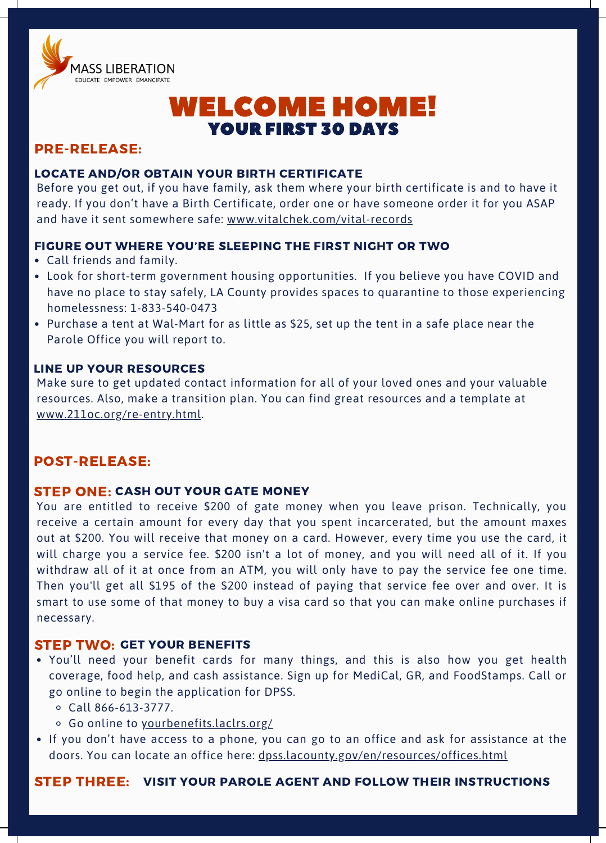

## WELCOME HOME! YOUR FIRST 30 DAYS

## PRE-RELEASE:

#### LOCATE AND/OR OBTAIN YOUR BIRTH CERTIFICATE

Before you get out, if you have family, ask them where your birth certificate is and to have it ready. If you don't have a Birth Certificate, order one or have someone order it for you ASAP and have it sent somewhere safe: [www.vitalchek.com/vital-records](https://www.vitalchek.com/vital-records)

#### FIGURE OUT WHERE YOU'RE SLEEPING THE FIRST NIGHT OR TWO

- Call friends and family.
- Look for short-term government housing opportunities. If you believe you have COVID and have no place to stay safely, LA County provides spaces to quarantine to those experiencing homelessness: 1-833-540-0473
- Purchase a tent at Wal-Mart for as little as \$25, set up the tent in a safe place near the Parole Office you will report to.

#### LINE UP YOUR RESOURCES

Make sure to get updated contact information for all of your loved ones and your valuable resources. Also, make a transition plan. You can find great resources and a template at [www.211oc.org/re-entry.html](http://www.211oc.org/re-entry.html).

## POST-RELEASE:

#### **STEP ONE: CASH OUT YOUR GATE MONEY**

You are entitled to receive \$200 of gate money when you leave prison. Technically, you receive a certain amount for every day that you spent incarcerated, but the amount maxes out at \$200. You will receive that money on a card. However, every time you use the card, it will charge you a service fee. \$200 isn't a lot of money, and you will need all of it. If you withdraw all of it at once from an ATM, you will only have to pay the service fee one time. Then you'll get all \$195 of the \$200 instead of paying that service fee over and over. It is smart to use some of that money to buy a visa card so that you can make online purchases if necessary.

#### STEP TWO: GET YOUR BENEFITS

- You'll need your benefit cards for many things, and this is also how you get health coverage, food help, and cash assistance. Sign up for MediCal, GR, and FoodStamps. Call or go online to begin the application for DPSS.
	- Call 866-613-3777.
	- o Go online to [yourbenefits.laclrs.org/](http://yourbenefits.laclrs.org/)
- If you don't have access to a phone, you can go to an office and ask for assistance at the doors. You can locate an office here: [dpss.lacounty.gov/en/resources/offices.html](http://dpss.lacounty.gov/en/resources/offices.html)

STEP THREE: VISIT YOUR PAROLE AGENT AND FOLLOW THEIR INSTRUCTIONS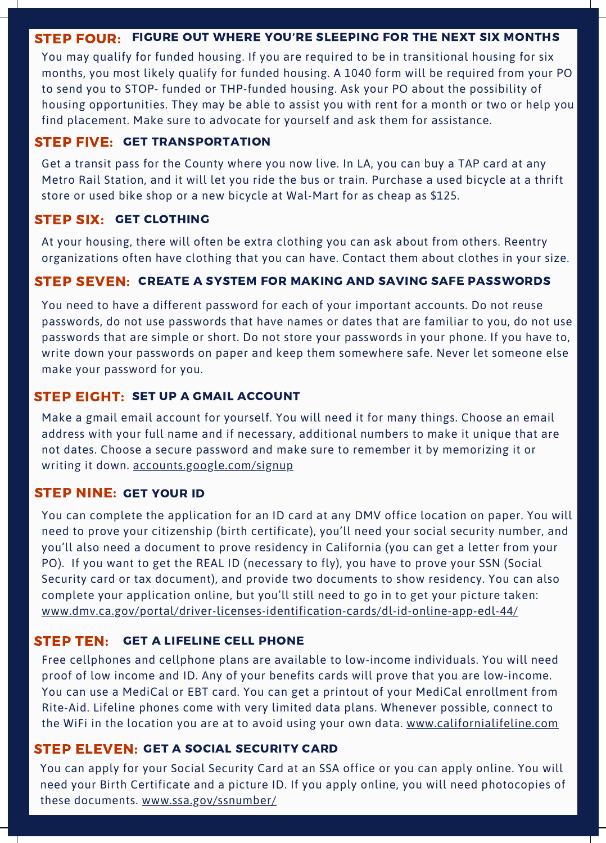#### STEP FOUR: FIGURE OUT WHERE YOU'RE SLEEPING FOR THE NEXT SIX MONTHS

You may qualify for funded housing. If you are required to be in transitional housing for six months, you most likely qualify for funded housing. A 1040 form will be required from your PO to send you to STOP- funded or THP-funded housing. Ask your PO about the possibility of housing opportunities. They may be able to assist you with rent for a month or two or help you find placement. Make sure to advocate for yourself and ask them for assistance.

#### STEP FIVE: GET TRANSPORTATION

Get a transit pass for the County where you now live. In LA, you can buy a TAP card at any Metro Rail Station, and it will let you ride the bus or train. Purchase a used bicycle at a thrift store or used bike shop or a new bicycle at Wal-Mart for as cheap as \$125.

#### STEP SIX: GET CLOTHING

At your housing, there will often be extra clothing you can ask about from others. Reentry organizations often have clothing that you can have. Contact them about clothes in your size.

## STEP SEVEN: CREATE A SYSTEM FOR MAKING AND SAVING SAFE PASSWORDS

You need to have a different password for each of your important accounts. Do not reuse passwords, do not use passwords that have names or dates that are familiar to you, do not use passwords that are simple or short. Do not store your passwords in your phone. If you have to, write down your passwords on paper and keep them somewhere safe. Never let someone else make your password for you.

#### STEP EIGHT: SET UP A GMAIL ACCOUNT

Make a gmail email account for yourself. You will need it for many things. Choose an email address with your full name and if necessary, additional numbers to make it unique that are not dates. Choose a secure password and make sure to remember it by memorizing it or writing it down. [accounts.google.com/signup](http://accounts.google.com/signup)

#### STEP NINE: GET YOUR ID

You can complete the application for an ID card at any DMV office location on paper. You will need to prove your citizenship (birth certificate), you'll need your social security number, and you'll also need a document to prove residency in California (you can get a letter from your PO). If you want to get the REAL ID (necessary to fly), you have to prove your SSN (Social Security card or tax document), and provide two documents to show residency. You can also complete your application online, but you'll still need to go in to get your picture taken: [www.dmv.ca.gov/portal/driver-licenses-identification-cards/dl-id-online-app-edl-44/](http://www.dmv.ca.gov/portal/driver-licenses-identification-cards/dl-id-online-app-edl-44/)

#### **STEP TEN: GET A LIFELINE CELL PHONE**

Free cellphones and cellphone plans are available to low-income individuals. You will need proof of low income and ID. Any of your benefits cards will prove that you are low-income. You can use a MediCal or EBT card. You can get a printout of your MediCal enrollment from Rite-Aid. Lifeline phones come with very limited data plans. Whenever possible, connect to the WiFi in the location you are at to avoid using your own data. [www.californialifeline.com](http://www.californialifeline.com/)

#### STEP ELEVEN: GET A SOCIAL SECURITY CARD

You can apply for your Social Security Card at an SSA office or you can apply online. You will need your Birth Certificate and a picture ID. If you apply online, you will need photocopies of these documents. [www.ssa.gov/ssnumber/](http://www.ssa.gov/ssnumber/)